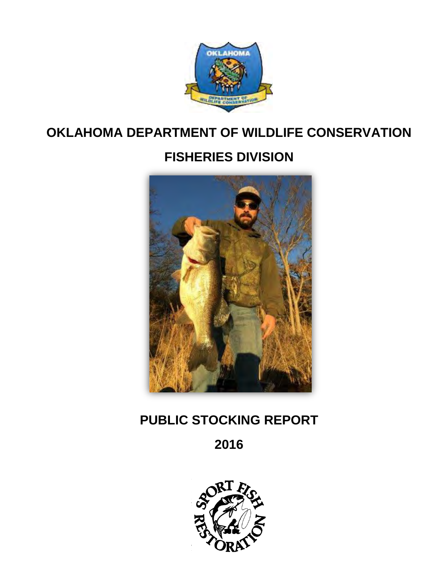

## **OKLAHOMA DEPARTMENT OF WILDLIFE CONSERVATION**

# **FISHERIES DIVISION**



## **PUBLIC STOCKING REPORT**

## **2016**

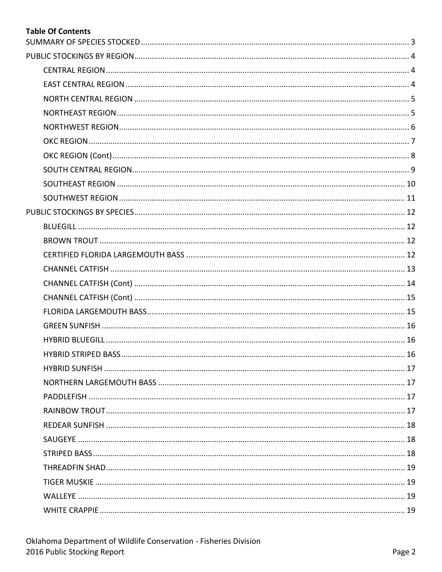### **Table Of Contents**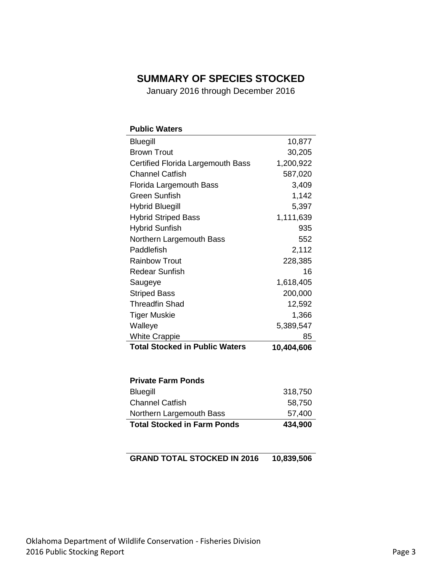### <span id="page-2-0"></span>**SUMMARY OF SPECIES STOCKED**

January 2016 through December 2016

| <b>Public Waters</b>                  |            |
|---------------------------------------|------------|
| <b>Bluegill</b>                       | 10,877     |
| <b>Brown Trout</b>                    | 30,205     |
| Certified Florida Largemouth Bass     | 1,200,922  |
| <b>Channel Catfish</b>                | 587,020    |
| <b>Florida Largemouth Bass</b>        | 3,409      |
| <b>Green Sunfish</b>                  | 1,142      |
| <b>Hybrid Bluegill</b>                | 5,397      |
| <b>Hybrid Striped Bass</b>            | 1,111,639  |
| <b>Hybrid Sunfish</b>                 | 935        |
| Northern Largemouth Bass              | 552        |
| Paddlefish                            | 2,112      |
| <b>Rainbow Trout</b>                  | 228,385    |
| <b>Redear Sunfish</b>                 | 16         |
| Saugeye                               | 1,618,405  |
| <b>Striped Bass</b>                   | 200,000    |
| <b>Threadfin Shad</b>                 | 12,592     |
| <b>Tiger Muskie</b>                   | 1,366      |
| Walleye                               | 5,389,547  |
| <b>White Crappie</b>                  | 85         |
| <b>Total Stocked in Public Waters</b> | 10,404,606 |
|                                       |            |
| <b>Private Farm Ponds</b>             |            |
| <b>Bluegill</b>                       | 318,750    |
| <b>Channel Catfish</b>                | 58,750     |
| Northern Largemouth Bass              | 57,400     |
| <b>Total Stocked in Farm Ponds</b>    | 434,900    |
|                                       |            |

**GRAND TOTAL STOCKED IN 2016 10,839,506**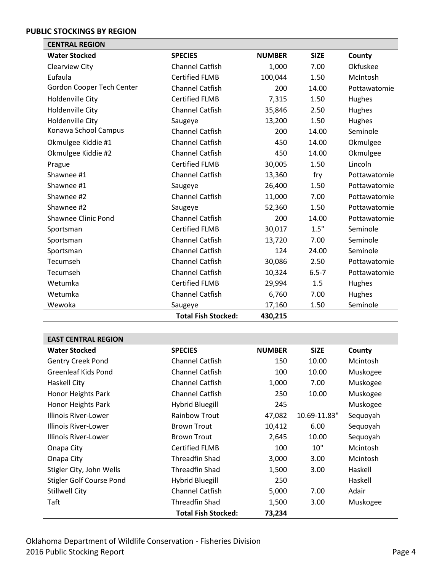### <span id="page-3-0"></span>**PUBLIC STOCKINGS BY REGION**

<span id="page-3-1"></span>

| <b>CENTRAL REGION</b>      |                            |               |             |               |
|----------------------------|----------------------------|---------------|-------------|---------------|
| <b>Water Stocked</b>       | <b>SPECIES</b>             | <b>NUMBER</b> | <b>SIZE</b> | County        |
| Clearview City             | <b>Channel Catfish</b>     | 1,000         | 7.00        | Okfuskee      |
| Eufaula                    | <b>Certified FLMB</b>      | 100,044       | 1.50        | McIntosh      |
| Gordon Cooper Tech Center  | <b>Channel Catfish</b>     | 200           | 14.00       | Pottawatomie  |
| Holdenville City           | <b>Certified FLMB</b>      | 7,315         | 1.50        | Hughes        |
| Holdenville City           | <b>Channel Catfish</b>     | 35,846        | 2.50        | Hughes        |
| Holdenville City           | Saugeye                    | 13,200        | 1.50        | Hughes        |
| Konawa School Campus       | <b>Channel Catfish</b>     | 200           | 14.00       | Seminole      |
| Okmulgee Kiddie #1         | <b>Channel Catfish</b>     | 450           | 14.00       | Okmulgee      |
| Okmulgee Kiddie #2         | <b>Channel Catfish</b>     | 450           | 14.00       | Okmulgee      |
| Prague                     | <b>Certified FLMB</b>      | 30,005        | 1.50        | Lincoln       |
| Shawnee #1                 | <b>Channel Catfish</b>     | 13,360        | fry         | Pottawatomie  |
| Shawnee #1                 | Saugeye                    | 26,400        | 1.50        | Pottawatomie  |
| Shawnee #2                 | <b>Channel Catfish</b>     | 11,000        | 7.00        | Pottawatomie  |
| Shawnee #2                 | Saugeye                    | 52,360        | 1.50        | Pottawatomie  |
| <b>Shawnee Clinic Pond</b> | <b>Channel Catfish</b>     | 200           | 14.00       | Pottawatomie  |
| Sportsman                  | <b>Certified FLMB</b>      | 30,017        | 1.5"        | Seminole      |
| Sportsman                  | <b>Channel Catfish</b>     | 13,720        | 7.00        | Seminole      |
| Sportsman                  | <b>Channel Catfish</b>     | 124           | 24.00       | Seminole      |
| Tecumseh                   | <b>Channel Catfish</b>     | 30,086        | 2.50        | Pottawatomie  |
| Tecumseh                   | <b>Channel Catfish</b>     | 10,324        | $6.5 - 7$   | Pottawatomie  |
| Wetumka                    | <b>Certified FLMB</b>      | 29,994        | 1.5         | Hughes        |
| Wetumka                    | <b>Channel Catfish</b>     | 6,760         | 7.00        | <b>Hughes</b> |
| Wewoka                     | Saugeye                    | 17,160        | 1.50        | Seminole      |
|                            | <b>Total Fish Stocked:</b> | 430,215       |             |               |

<span id="page-3-2"></span>

| <b>EAST CENTRAL REGION</b>      |                            |               |              |          |
|---------------------------------|----------------------------|---------------|--------------|----------|
| <b>Water Stocked</b>            | <b>SPECIES</b>             | <b>NUMBER</b> | <b>SIZE</b>  | County   |
| Gentry Creek Pond               | <b>Channel Catfish</b>     | 150           | 10.00        | Mcintosh |
| Greenleaf Kids Pond             | <b>Channel Catfish</b>     | 100           | 10.00        | Muskogee |
| Haskell City                    | <b>Channel Catfish</b>     | 1,000         | 7.00         | Muskogee |
| Honor Heights Park              | <b>Channel Catfish</b>     | 250           | 10.00        | Muskogee |
| Honor Heights Park              | Hybrid Bluegill            | 245           |              | Muskogee |
| Illinois River-Lower            | <b>Rainbow Trout</b>       | 47,082        | 10.69-11.83" | Sequoyah |
| Illinois River-Lower            | <b>Brown Trout</b>         | 10,412        | 6.00         | Sequoyah |
| Illinois River-Lower            | <b>Brown Trout</b>         | 2,645         | 10.00        | Sequoyah |
| Onapa City                      | <b>Certified FLMB</b>      | 100           | 10"          | Mcintosh |
| Onapa City                      | Threadfin Shad             | 3,000         | 3.00         | Mcintosh |
| Stigler City, John Wells        | Threadfin Shad             | 1,500         | 3.00         | Haskell  |
| <b>Stigler Golf Course Pond</b> | Hybrid Bluegill            | 250           |              | Haskell  |
| <b>Stillwell City</b>           | <b>Channel Catfish</b>     | 5,000         | 7.00         | Adair    |
| Taft                            | <b>Threadfin Shad</b>      | 1,500         | 3.00         | Muskogee |
|                                 | <b>Total Fish Stocked:</b> | 73,234        |              |          |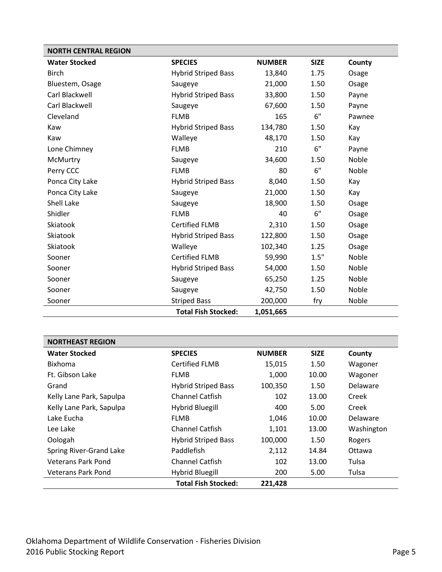<span id="page-4-0"></span>

| <b>NORTH CENTRAL REGION</b> |                            |               |             |              |
|-----------------------------|----------------------------|---------------|-------------|--------------|
| <b>Water Stocked</b>        | <b>SPECIES</b>             | <b>NUMBER</b> | <b>SIZE</b> | County       |
| <b>Birch</b>                | <b>Hybrid Striped Bass</b> | 13,840        | 1.75        | Osage        |
| Bluestem, Osage             | Saugeye                    | 21,000        | 1.50        | Osage        |
| Carl Blackwell              | <b>Hybrid Striped Bass</b> | 33,800        | 1.50        | Payne        |
| Carl Blackwell              | Saugeye                    | 67,600        | 1.50        | Payne        |
| Cleveland                   | <b>FLMB</b>                | 165           | 6"          | Pawnee       |
| Kaw                         | <b>Hybrid Striped Bass</b> | 134,780       | 1.50        | Kay          |
| Kaw                         | Walleye                    | 48,170        | 1.50        | Kay          |
| Lone Chimney                | <b>FLMB</b>                | 210           | 6"          | Payne        |
| McMurtry                    | Saugeye                    | 34,600        | 1.50        | <b>Noble</b> |
| Perry CCC                   | <b>FLMB</b>                | 80            | 6"          | Noble        |
| Ponca City Lake             | <b>Hybrid Striped Bass</b> | 8,040         | 1.50        | Kay          |
| Ponca City Lake             | Saugeye                    | 21,000        | 1.50        | Kay          |
| Shell Lake                  | Saugeye                    | 18,900        | 1.50        | Osage        |
| Shidler                     | <b>FLMB</b>                | 40            | 6"          | Osage        |
| Skiatook                    | <b>Certified FLMB</b>      | 2,310         | 1.50        | Osage        |
| Skiatook                    | <b>Hybrid Striped Bass</b> | 122,800       | 1.50        | Osage        |
| Skiatook                    | Walleye                    | 102,340       | 1.25        | Osage        |
| Sooner                      | <b>Certified FLMB</b>      | 59,990        | 1.5"        | Noble        |
| Sooner                      | <b>Hybrid Striped Bass</b> | 54,000        | 1.50        | Noble        |
| Sooner                      | Saugeye                    | 65,250        | 1.25        | Noble        |
| Sooner                      | Saugeye                    | 42,750        | 1.50        | Noble        |
| Sooner                      | <b>Striped Bass</b>        | 200,000       | fry         | Noble        |
|                             | <b>Total Fish Stocked:</b> | 1,051,665     |             |              |

<span id="page-4-1"></span>

| <b>NORTHEAST REGION</b>   |                            |               |             |            |
|---------------------------|----------------------------|---------------|-------------|------------|
| <b>Water Stocked</b>      | <b>SPECIES</b>             | <b>NUMBER</b> | <b>SIZE</b> | County     |
| <b>Bixhoma</b>            | Certified FLMB             | 15,015        | 1.50        | Wagoner    |
| Ft. Gibson Lake           | <b>FLMB</b>                | 1,000         | 10.00       | Wagoner    |
| Grand                     | <b>Hybrid Striped Bass</b> | 100,350       | 1.50        | Delaware   |
| Kelly Lane Park, Sapulpa  | Channel Catfish            | 102           | 13.00       | Creek      |
| Kelly Lane Park, Sapulpa  | <b>Hybrid Bluegill</b>     | 400           | 5.00        | Creek      |
| Lake Fucha                | <b>FLMB</b>                | 1,046         | 10.00       | Delaware   |
| Lee Lake                  | <b>Channel Catfish</b>     | 1,101         | 13.00       | Washington |
| Oologah                   | <b>Hybrid Striped Bass</b> | 100,000       | 1.50        | Rogers     |
| Spring River-Grand Lake   | Paddlefish                 | 2,112         | 14.84       | Ottawa     |
| Veterans Park Pond        | <b>Channel Catfish</b>     | 102           | 13.00       | Tulsa      |
| <b>Veterans Park Pond</b> | Hybrid Bluegill            | 200           | 5.00        | Tulsa      |
|                           | <b>Total Fish Stocked:</b> | 221,428       |             |            |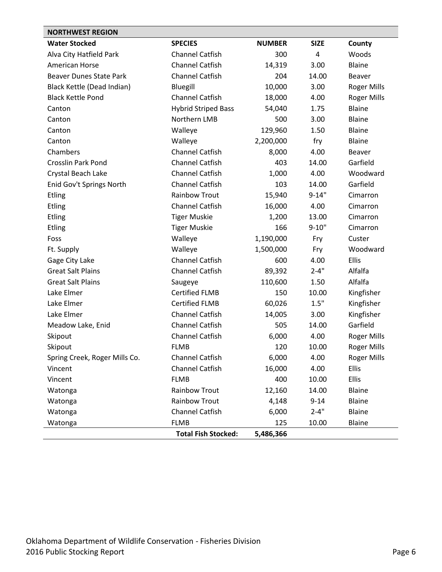<span id="page-5-0"></span>

| <b>NORTHWEST REGION</b>        |                            |               |             |                    |
|--------------------------------|----------------------------|---------------|-------------|--------------------|
| <b>Water Stocked</b>           | <b>SPECIES</b>             | <b>NUMBER</b> | <b>SIZE</b> | <b>County</b>      |
| Alva City Hatfield Park        | <b>Channel Catfish</b>     | 300           | 4           | Woods              |
| <b>American Horse</b>          | <b>Channel Catfish</b>     | 14,319        | 3.00        | Blaine             |
| <b>Beaver Dunes State Park</b> | <b>Channel Catfish</b>     | 204           | 14.00       | <b>Beaver</b>      |
| Black Kettle (Dead Indian)     | Bluegill                   | 10,000        | 3.00        | Roger Mills        |
| <b>Black Kettle Pond</b>       | <b>Channel Catfish</b>     | 18,000        | 4.00        | Roger Mills        |
| Canton                         | <b>Hybrid Striped Bass</b> | 54,040        | 1.75        | <b>Blaine</b>      |
| Canton                         | Northern LMB               | 500           | 3.00        | Blaine             |
| Canton                         | Walleye                    | 129,960       | 1.50        | <b>Blaine</b>      |
| Canton                         | Walleye                    | 2,200,000     | fry         | Blaine             |
| Chambers                       | <b>Channel Catfish</b>     | 8,000         | 4.00        | <b>Beaver</b>      |
| <b>Crosslin Park Pond</b>      | <b>Channel Catfish</b>     | 403           | 14.00       | Garfield           |
| Crystal Beach Lake             | <b>Channel Catfish</b>     | 1,000         | 4.00        | Woodward           |
| Enid Gov't Springs North       | <b>Channel Catfish</b>     | 103           | 14.00       | Garfield           |
| <b>Etling</b>                  | <b>Rainbow Trout</b>       | 15,940        | $9 - 14"$   | Cimarron           |
| <b>Etling</b>                  | <b>Channel Catfish</b>     | 16,000        | 4.00        | Cimarron           |
| <b>Etling</b>                  | <b>Tiger Muskie</b>        | 1,200         | 13.00       | Cimarron           |
| <b>Etling</b>                  | <b>Tiger Muskie</b>        | 166           | $9 - 10"$   | Cimarron           |
| Foss                           | Walleye                    | 1,190,000     | Fry         | Custer             |
| Ft. Supply                     | Walleye                    | 1,500,000     | Fry         | Woodward           |
| Gage City Lake                 | <b>Channel Catfish</b>     | 600           | 4.00        | Ellis              |
| <b>Great Salt Plains</b>       | <b>Channel Catfish</b>     | 89,392        | $2 - 4"$    | Alfalfa            |
| <b>Great Salt Plains</b>       | Saugeye                    | 110,600       | 1.50        | Alfalfa            |
| Lake Elmer                     | <b>Certified FLMB</b>      | 150           | 10.00       | Kingfisher         |
| Lake Elmer                     | <b>Certified FLMB</b>      | 60,026        | 1.5"        | Kingfisher         |
| Lake Elmer                     | <b>Channel Catfish</b>     | 14,005        | 3.00        | Kingfisher         |
| Meadow Lake, Enid              | <b>Channel Catfish</b>     | 505           | 14.00       | Garfield           |
| Skipout                        | <b>Channel Catfish</b>     | 6,000         | 4.00        | Roger Mills        |
| Skipout                        | <b>FLMB</b>                | 120           | 10.00       | <b>Roger Mills</b> |
| Spring Creek, Roger Mills Co.  | Channel Catfish            | 6,000         | 4.00        | <b>Roger Mills</b> |
| Vincent                        | <b>Channel Catfish</b>     | 16,000        | 4.00        | Ellis              |
| Vincent                        | <b>FLMB</b>                | 400           | 10.00       | Ellis              |
| Watonga                        | Rainbow Trout              | 12,160        | 14.00       | Blaine             |
| Watonga                        | <b>Rainbow Trout</b>       | 4,148         | $9 - 14$    | Blaine             |
| Watonga                        | Channel Catfish            | 6,000         | $2 - 4"$    | Blaine             |
| Watonga                        | <b>FLMB</b>                | 125           | 10.00       | <b>Blaine</b>      |
|                                | <b>Total Fish Stocked:</b> | 5,486,366     |             |                    |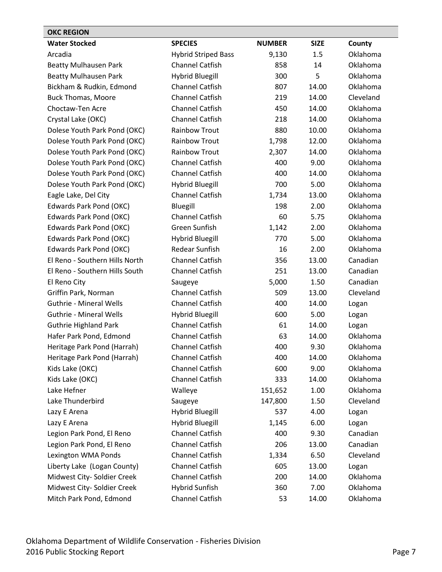<span id="page-6-0"></span>

| <b>OKC REGION</b>              |                            |               |             |           |
|--------------------------------|----------------------------|---------------|-------------|-----------|
| <b>Water Stocked</b>           | <b>SPECIES</b>             | <b>NUMBER</b> | <b>SIZE</b> | County    |
| Arcadia                        | <b>Hybrid Striped Bass</b> | 9,130         | 1.5         | Oklahoma  |
| <b>Beatty Mulhausen Park</b>   | <b>Channel Catfish</b>     | 858           | 14          | Oklahoma  |
| <b>Beatty Mulhausen Park</b>   | <b>Hybrid Bluegill</b>     | 300           | 5           | Oklahoma  |
| Bickham & Rudkin, Edmond       | <b>Channel Catfish</b>     | 807           | 14.00       | Oklahoma  |
| <b>Buck Thomas, Moore</b>      | Channel Catfish            | 219           | 14.00       | Cleveland |
| Choctaw-Ten Acre               | <b>Channel Catfish</b>     | 450           | 14.00       | Oklahoma  |
| Crystal Lake (OKC)             | <b>Channel Catfish</b>     | 218           | 14.00       | Oklahoma  |
| Dolese Youth Park Pond (OKC)   | <b>Rainbow Trout</b>       | 880           | 10.00       | Oklahoma  |
| Dolese Youth Park Pond (OKC)   | <b>Rainbow Trout</b>       | 1,798         | 12.00       | Oklahoma  |
| Dolese Youth Park Pond (OKC)   | <b>Rainbow Trout</b>       | 2,307         | 14.00       | Oklahoma  |
| Dolese Youth Park Pond (OKC)   | <b>Channel Catfish</b>     | 400           | 9.00        | Oklahoma  |
| Dolese Youth Park Pond (OKC)   | Channel Catfish            | 400           | 14.00       | Oklahoma  |
| Dolese Youth Park Pond (OKC)   | <b>Hybrid Bluegill</b>     | 700           | 5.00        | Oklahoma  |
| Eagle Lake, Del City           | Channel Catfish            | 1,734         | 13.00       | Oklahoma  |
| Edwards Park Pond (OKC)        | Bluegill                   | 198           | 2.00        | Oklahoma  |
| Edwards Park Pond (OKC)        | <b>Channel Catfish</b>     | 60            | 5.75        | Oklahoma  |
| <b>Edwards Park Pond (OKC)</b> | Green Sunfish              | 1,142         | 2.00        | Oklahoma  |
| Edwards Park Pond (OKC)        | <b>Hybrid Bluegill</b>     | 770           | 5.00        | Oklahoma  |
| Edwards Park Pond (OKC)        | <b>Redear Sunfish</b>      | 16            | 2.00        | Oklahoma  |
| El Reno - Southern Hills North | Channel Catfish            | 356           | 13.00       | Canadian  |
| El Reno - Southern Hills South | <b>Channel Catfish</b>     | 251           | 13.00       | Canadian  |
| El Reno City                   | Saugeye                    | 5,000         | 1.50        | Canadian  |
| Griffin Park, Norman           | Channel Catfish            | 509           | 13.00       | Cleveland |
| <b>Guthrie - Mineral Wells</b> | Channel Catfish            | 400           | 14.00       | Logan     |
| <b>Guthrie - Mineral Wells</b> | <b>Hybrid Bluegill</b>     | 600           | 5.00        | Logan     |
| <b>Guthrie Highland Park</b>   | Channel Catfish            | 61            | 14.00       | Logan     |
| Hafer Park Pond, Edmond        | <b>Channel Catfish</b>     | 63            | 14.00       | Oklahoma  |
| Heritage Park Pond (Harrah)    | <b>Channel Catfish</b>     | 400           | 9.30        | Oklahoma  |
| Heritage Park Pond (Harrah)    | <b>Channel Catfish</b>     | 400           | 14.00       | Oklahoma  |
| Kids Lake (OKC)                | Channel Catfish            | 600           | 9.00        | Oklahoma  |
| Kids Lake (OKC)                | Channel Catfish            | 333           | 14.00       | Oklahoma  |
| Lake Hefner                    | Walleye                    | 151,652       | 1.00        | Oklahoma  |
| Lake Thunderbird               | Saugeye                    | 147,800       | 1.50        | Cleveland |
| Lazy E Arena                   | <b>Hybrid Bluegill</b>     | 537           | 4.00        | Logan     |
| Lazy E Arena                   | <b>Hybrid Bluegill</b>     | 1,145         | 6.00        | Logan     |
| Legion Park Pond, El Reno      | Channel Catfish            | 400           | 9.30        | Canadian  |
| Legion Park Pond, El Reno      | Channel Catfish            | 206           | 13.00       | Canadian  |
| Lexington WMA Ponds            | Channel Catfish            | 1,334         | 6.50        | Cleveland |
| Liberty Lake (Logan County)    | <b>Channel Catfish</b>     | 605           | 13.00       | Logan     |
| Midwest City- Soldier Creek    | Channel Catfish            | 200           | 14.00       | Oklahoma  |
| Midwest City- Soldier Creek    | <b>Hybrid Sunfish</b>      | 360           | 7.00        | Oklahoma  |
| Mitch Park Pond, Edmond        | Channel Catfish            | 53            | 14.00       | Oklahoma  |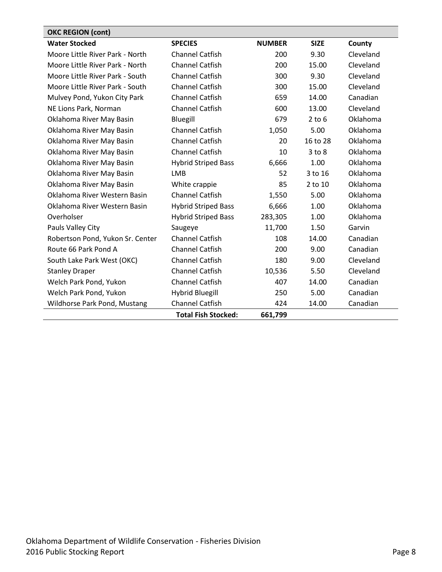<span id="page-7-0"></span>

| <b>OKC REGION (cont)</b>         |                            |               |             |           |
|----------------------------------|----------------------------|---------------|-------------|-----------|
| <b>Water Stocked</b>             | <b>SPECIES</b>             | <b>NUMBER</b> | <b>SIZE</b> | County    |
| Moore Little River Park - North  | <b>Channel Catfish</b>     | 200           | 9.30        | Cleveland |
| Moore Little River Park - North  | <b>Channel Catfish</b>     | 200           | 15.00       | Cleveland |
| Moore Little River Park - South  | <b>Channel Catfish</b>     | 300           | 9.30        | Cleveland |
| Moore Little River Park - South  | <b>Channel Catfish</b>     | 300           | 15.00       | Cleveland |
| Mulvey Pond, Yukon City Park     | <b>Channel Catfish</b>     | 659           | 14.00       | Canadian  |
| NE Lions Park, Norman            | <b>Channel Catfish</b>     | 600           | 13.00       | Cleveland |
| Oklahoma River May Basin         | Bluegill                   | 679           | $2$ to 6    | Oklahoma  |
| Oklahoma River May Basin         | <b>Channel Catfish</b>     | 1,050         | 5.00        | Oklahoma  |
| Oklahoma River May Basin         | <b>Channel Catfish</b>     | 20            | 16 to 28    | Oklahoma  |
| Oklahoma River May Basin         | <b>Channel Catfish</b>     | 10            | $3$ to $8$  | Oklahoma  |
| Oklahoma River May Basin         | <b>Hybrid Striped Bass</b> | 6,666         | 1.00        | Oklahoma  |
| Oklahoma River May Basin         | <b>LMB</b>                 | 52            | 3 to 16     | Oklahoma  |
| Oklahoma River May Basin         | White crappie              | 85            | $2$ to $10$ | Oklahoma  |
| Oklahoma River Western Basin     | <b>Channel Catfish</b>     | 1,550         | 5.00        | Oklahoma  |
| Oklahoma River Western Basin     | <b>Hybrid Striped Bass</b> | 6,666         | 1.00        | Oklahoma  |
| Overholser                       | <b>Hybrid Striped Bass</b> | 283,305       | 1.00        | Oklahoma  |
| Pauls Valley City                | Saugeye                    | 11,700        | 1.50        | Garvin    |
| Robertson Pond, Yukon Sr. Center | <b>Channel Catfish</b>     | 108           | 14.00       | Canadian  |
| Route 66 Park Pond A             | <b>Channel Catfish</b>     | 200           | 9.00        | Canadian  |
| South Lake Park West (OKC)       | <b>Channel Catfish</b>     | 180           | 9.00        | Cleveland |
| <b>Stanley Draper</b>            | <b>Channel Catfish</b>     | 10,536        | 5.50        | Cleveland |
| Welch Park Pond, Yukon           | <b>Channel Catfish</b>     | 407           | 14.00       | Canadian  |
| Welch Park Pond, Yukon           | <b>Hybrid Bluegill</b>     | 250           | 5.00        | Canadian  |
| Wildhorse Park Pond, Mustang     | <b>Channel Catfish</b>     | 424           | 14.00       | Canadian  |
|                                  | <b>Total Fish Stocked:</b> | 661,799       |             |           |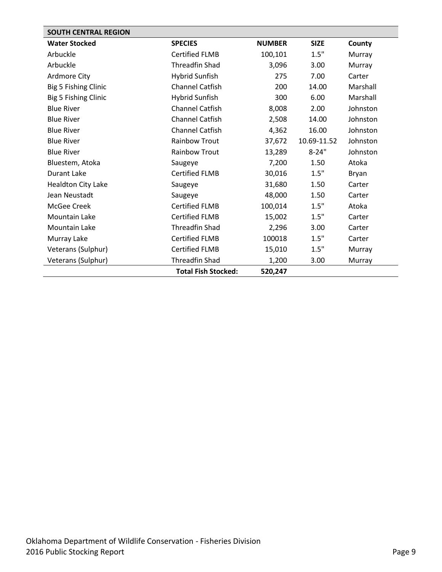<span id="page-8-0"></span>

| <b>SOUTH CENTRAL REGION</b> |                            |               |             |          |
|-----------------------------|----------------------------|---------------|-------------|----------|
| <b>Water Stocked</b>        | <b>SPECIES</b>             | <b>NUMBER</b> | <b>SIZE</b> | County   |
| Arbuckle                    | <b>Certified FLMB</b>      | 100,101       | 1.5"        | Murray   |
| Arbuckle                    | <b>Threadfin Shad</b>      | 3,096         | 3.00        | Murray   |
| Ardmore City                | <b>Hybrid Sunfish</b>      | 275           | 7.00        | Carter   |
| Big 5 Fishing Clinic        | <b>Channel Catfish</b>     | 200           | 14.00       | Marshall |
| Big 5 Fishing Clinic        | <b>Hybrid Sunfish</b>      | 300           | 6.00        | Marshall |
| <b>Blue River</b>           | <b>Channel Catfish</b>     | 8,008         | 2.00        | Johnston |
| <b>Blue River</b>           | <b>Channel Catfish</b>     | 2,508         | 14.00       | Johnston |
| <b>Blue River</b>           | <b>Channel Catfish</b>     | 4,362         | 16.00       | Johnston |
| <b>Blue River</b>           | <b>Rainbow Trout</b>       | 37,672        | 10.69-11.52 | Johnston |
| <b>Blue River</b>           | Rainbow Trout              | 13,289        | $8 - 24"$   | Johnston |
| Bluestem, Atoka             | Saugeye                    | 7,200         | 1.50        | Atoka    |
| Durant Lake                 | <b>Certified FLMB</b>      | 30,016        | 1.5"        | Bryan    |
| <b>Healdton City Lake</b>   | Saugeye                    | 31,680        | 1.50        | Carter   |
| Jean Neustadt               | Saugeye                    | 48,000        | 1.50        | Carter   |
| McGee Creek                 | <b>Certified FLMB</b>      | 100,014       | 1.5"        | Atoka    |
| Mountain Lake               | <b>Certified FLMB</b>      | 15,002        | 1.5"        | Carter   |
| <b>Mountain Lake</b>        | <b>Threadfin Shad</b>      | 2,296         | 3.00        | Carter   |
| Murray Lake                 | <b>Certified FLMB</b>      | 100018        | 1.5"        | Carter   |
| Veterans (Sulphur)          | <b>Certified FLMB</b>      | 15,010        | 1.5"        | Murray   |
| Veterans (Sulphur)          | Threadfin Shad             | 1,200         | 3.00        | Murray   |
|                             | <b>Total Fish Stocked:</b> | 520,247       |             |          |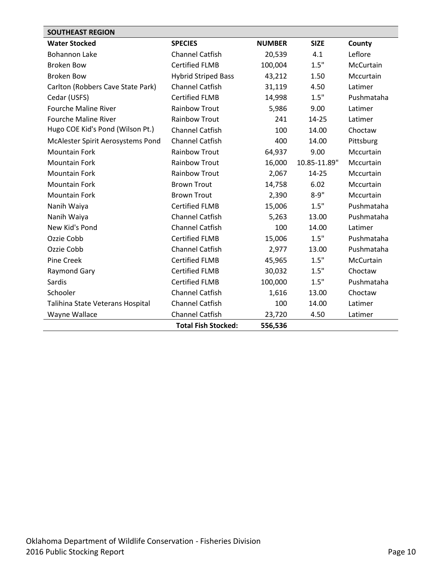<span id="page-9-0"></span>

| <b>SOUTHEAST REGION</b>           |                            |               |              |            |
|-----------------------------------|----------------------------|---------------|--------------|------------|
| <b>Water Stocked</b>              | <b>SPECIES</b>             | <b>NUMBER</b> | <b>SIZE</b>  | County     |
| <b>Bohannon Lake</b>              | <b>Channel Catfish</b>     | 20,539        | 4.1          | Leflore    |
| <b>Broken Bow</b>                 | <b>Certified FLMB</b>      | 100,004       | 1.5"         | McCurtain  |
| <b>Broken Bow</b>                 | <b>Hybrid Striped Bass</b> | 43,212        | 1.50         | Mccurtain  |
| Carlton (Robbers Cave State Park) | <b>Channel Catfish</b>     | 31,119        | 4.50         | Latimer    |
| Cedar (USFS)                      | <b>Certified FLMB</b>      | 14,998        | 1.5"         | Pushmataha |
| <b>Fourche Maline River</b>       | <b>Rainbow Trout</b>       | 5,986         | 9.00         | Latimer    |
| <b>Fourche Maline River</b>       | <b>Rainbow Trout</b>       | 241           | $14 - 25$    | Latimer    |
| Hugo COE Kid's Pond (Wilson Pt.)  | <b>Channel Catfish</b>     | 100           | 14.00        | Choctaw    |
| McAlester Spirit Aerosystems Pond | <b>Channel Catfish</b>     | 400           | 14.00        | Pittsburg  |
| <b>Mountain Fork</b>              | <b>Rainbow Trout</b>       | 64,937        | 9.00         | Mccurtain  |
| <b>Mountain Fork</b>              | <b>Rainbow Trout</b>       | 16,000        | 10.85-11.89" | Mccurtain  |
| <b>Mountain Fork</b>              | <b>Rainbow Trout</b>       | 2,067         | 14-25        | Mccurtain  |
| <b>Mountain Fork</b>              | <b>Brown Trout</b>         | 14,758        | 6.02         | Mccurtain  |
| <b>Mountain Fork</b>              | <b>Brown Trout</b>         | 2,390         | $8 - 9"$     | Mccurtain  |
| Nanih Waiya                       | <b>Certified FLMB</b>      | 15,006        | 1.5"         | Pushmataha |
| Nanih Waiya                       | <b>Channel Catfish</b>     | 5,263         | 13.00        | Pushmataha |
| New Kid's Pond                    | <b>Channel Catfish</b>     | 100           | 14.00        | Latimer    |
| Ozzie Cobb                        | <b>Certified FLMB</b>      | 15,006        | 1.5"         | Pushmataha |
| Ozzie Cobb                        | <b>Channel Catfish</b>     | 2,977         | 13.00        | Pushmataha |
| Pine Creek                        | <b>Certified FLMB</b>      | 45,965        | 1.5"         | McCurtain  |
| Raymond Gary                      | <b>Certified FLMB</b>      | 30,032        | 1.5"         | Choctaw    |
| Sardis                            | <b>Certified FLMB</b>      | 100,000       | 1.5"         | Pushmataha |
| Schooler                          | <b>Channel Catfish</b>     | 1,616         | 13.00        | Choctaw    |
| Talihina State Veterans Hospital  | <b>Channel Catfish</b>     | 100           | 14.00        | Latimer    |
| Wayne Wallace                     | <b>Channel Catfish</b>     | 23,720        | 4.50         | Latimer    |
|                                   | <b>Total Fish Stocked:</b> | 556,536       |              |            |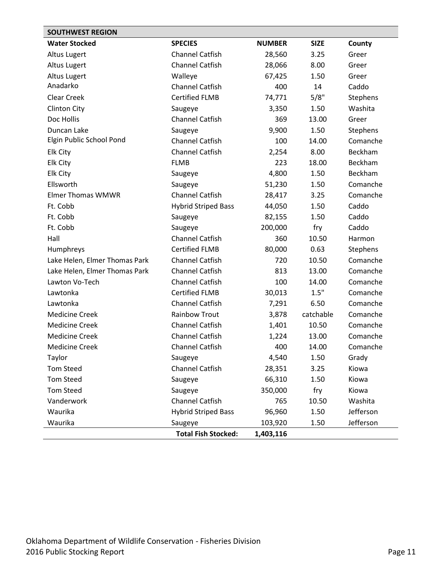<span id="page-10-0"></span>

| <b>SOUTHWEST REGION</b>       |                            |               |             |           |
|-------------------------------|----------------------------|---------------|-------------|-----------|
| <b>Water Stocked</b>          | <b>SPECIES</b>             | <b>NUMBER</b> | <b>SIZE</b> | County    |
| Altus Lugert                  | <b>Channel Catfish</b>     | 28,560        | 3.25        | Greer     |
| <b>Altus Lugert</b>           | <b>Channel Catfish</b>     | 28,066        | 8.00        | Greer     |
| <b>Altus Lugert</b>           | Walleye                    | 67,425        | 1.50        | Greer     |
| Anadarko                      | <b>Channel Catfish</b>     | 400           | 14          | Caddo     |
| <b>Clear Creek</b>            | <b>Certified FLMB</b>      | 74,771        | 5/8"        | Stephens  |
| <b>Clinton City</b>           | Saugeye                    | 3,350         | 1.50        | Washita   |
| Doc Hollis                    | <b>Channel Catfish</b>     | 369           | 13.00       | Greer     |
| Duncan Lake                   | Saugeye                    | 9,900         | 1.50        | Stephens  |
| Elgin Public School Pond      | <b>Channel Catfish</b>     | 100           | 14.00       | Comanche  |
| <b>Elk City</b>               | <b>Channel Catfish</b>     | 2,254         | 8.00        | Beckham   |
| Elk City                      | <b>FLMB</b>                | 223           | 18.00       | Beckham   |
| <b>Elk City</b>               | Saugeye                    | 4,800         | 1.50        | Beckham   |
| Ellsworth                     | Saugeye                    | 51,230        | 1.50        | Comanche  |
| <b>Elmer Thomas WMWR</b>      | <b>Channel Catfish</b>     | 28,417        | 3.25        | Comanche  |
| Ft. Cobb                      | <b>Hybrid Striped Bass</b> | 44,050        | 1.50        | Caddo     |
| Ft. Cobb                      | Saugeye                    | 82,155        | 1.50        | Caddo     |
| Ft. Cobb                      | Saugeye                    | 200,000       | fry         | Caddo     |
| Hall                          | <b>Channel Catfish</b>     | 360           | 10.50       | Harmon    |
| Humphreys                     | <b>Certified FLMB</b>      | 80,000        | 0.63        | Stephens  |
| Lake Helen, Elmer Thomas Park | <b>Channel Catfish</b>     | 720           | 10.50       | Comanche  |
| Lake Helen, Elmer Thomas Park | <b>Channel Catfish</b>     | 813           | 13.00       | Comanche  |
| Lawton Vo-Tech                | <b>Channel Catfish</b>     | 100           | 14.00       | Comanche  |
| Lawtonka                      | <b>Certified FLMB</b>      | 30,013        | 1.5"        | Comanche  |
| Lawtonka                      | <b>Channel Catfish</b>     | 7,291         | 6.50        | Comanche  |
| <b>Medicine Creek</b>         | <b>Rainbow Trout</b>       | 3,878         | catchable   | Comanche  |
| <b>Medicine Creek</b>         | <b>Channel Catfish</b>     | 1,401         | 10.50       | Comanche  |
| <b>Medicine Creek</b>         | <b>Channel Catfish</b>     | 1,224         | 13.00       | Comanche  |
| <b>Medicine Creek</b>         | <b>Channel Catfish</b>     | 400           | 14.00       | Comanche  |
| Taylor                        | Saugeye                    | 4,540         | 1.50        | Grady     |
| <b>Tom Steed</b>              | Channel Catfish            | 28,351        | 3.25        | Kiowa     |
| <b>Tom Steed</b>              | Saugeye                    | 66,310        | 1.50        | Kiowa     |
| <b>Tom Steed</b>              | Saugeye                    | 350,000       | fry         | Kiowa     |
| Vanderwork                    | Channel Catfish            | 765           | 10.50       | Washita   |
| Waurika                       | <b>Hybrid Striped Bass</b> | 96,960        | 1.50        | Jefferson |
| Waurika                       | Saugeye                    | 103,920       | 1.50        | Jefferson |
|                               | <b>Total Fish Stocked:</b> | 1,403,116     |             |           |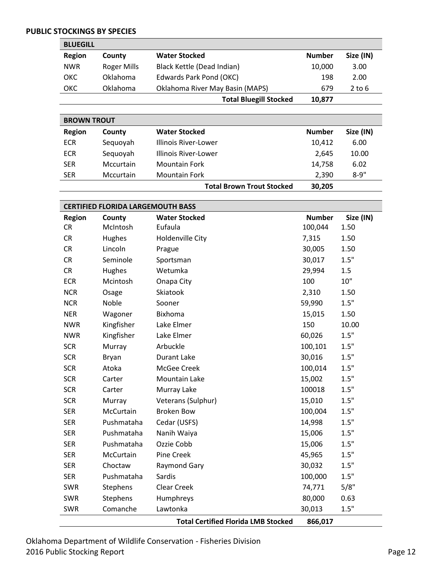#### <span id="page-11-0"></span>**PUBLIC STOCKINGS BY SPECIES**

<span id="page-11-1"></span>

| <b>BLUEGILL</b> |             |                                 |               |           |
|-----------------|-------------|---------------------------------|---------------|-----------|
| <b>Region</b>   | County      | <b>Water Stocked</b>            | <b>Number</b> | Size (IN) |
| <b>NWR</b>      | Roger Mills | Black Kettle (Dead Indian)      | 10,000        | 3.00      |
| <b>OKC</b>      | Oklahoma    | Edwards Park Pond (OKC)         | 198           | 2.00      |
| <b>OKC</b>      | Oklahoma    | Oklahoma River May Basin (MAPS) | 679           | 2 to 6    |
|                 |             | <b>Total Bluegill Stocked</b>   | 10,877        |           |

<span id="page-11-2"></span>

|               | <b>BROWN TROUT</b> |                           |               |           |  |  |
|---------------|--------------------|---------------------------|---------------|-----------|--|--|
| <b>Region</b> | County             | <b>Water Stocked</b>      | <b>Number</b> | Size (IN) |  |  |
| <b>ECR</b>    | Sequoyah           | Illinois River-Lower      | 10,412        | 6.00      |  |  |
| <b>ECR</b>    | Sequoyah           | Illinois River-Lower      | 2.645         | 10.00     |  |  |
| <b>SER</b>    | Mccurtain          | <b>Mountain Fork</b>      | 14,758        | 6.02      |  |  |
| <b>SER</b>    | Mccurtain          | <b>Mountain Fork</b>      | 2.390         | $8 - 9"$  |  |  |
|               |                    | Total Drown Trout Ctackad | המר חכ        |           |  |  |

<span id="page-11-3"></span>

|               |                                          | <b>Total Brown Trout Stocked</b> | 30,205        |           |  |
|---------------|------------------------------------------|----------------------------------|---------------|-----------|--|
|               |                                          |                                  |               |           |  |
|               | <b>CERTIFIED FLORIDA LARGEMOUTH BASS</b> |                                  |               |           |  |
| <b>Region</b> | County                                   | <b>Water Stocked</b>             | <b>Number</b> | Size (IN) |  |
| <b>CR</b>     | McIntosh                                 | Eufaula                          | 100,044       | 1.50      |  |
| <b>CR</b>     | Hughes                                   | Holdenville City                 | 7,315         | 1.50      |  |
| <b>CR</b>     | Lincoln                                  | Prague                           | 30,005        | 1.50      |  |
| <b>CR</b>     | Seminole                                 | Sportsman                        | 30,017        | 1.5"      |  |
| <b>CR</b>     | Hughes                                   | Wetumka                          | 29,994        | 1.5       |  |
| <b>ECR</b>    | Mcintosh                                 | Onapa City                       | 100           | 10"       |  |
| <b>NCR</b>    | Osage                                    | Skiatook                         | 2,310         | 1.50      |  |
| <b>NCR</b>    | Noble                                    | Sooner                           | 59,990        | 1.5"      |  |
| <b>NER</b>    | Wagoner                                  | Bixhoma                          | 15,015        | 1.50      |  |
| <b>NWR</b>    | Kingfisher                               | Lake Elmer                       | 150           | 10.00     |  |
| <b>NWR</b>    | Kingfisher                               | Lake Elmer                       | 60,026        | 1.5"      |  |
| <b>SCR</b>    | Murray                                   | Arbuckle                         | 100,101       | 1.5"      |  |
| <b>SCR</b>    | Bryan                                    | <b>Durant Lake</b>               | 30,016        | 1.5"      |  |
| <b>SCR</b>    | Atoka                                    | McGee Creek                      | 100,014       | 1.5"      |  |
| <b>SCR</b>    | Carter                                   | Mountain Lake                    | 15,002        | 1.5"      |  |
| <b>SCR</b>    | Carter                                   | Murray Lake                      | 100018        | 1.5"      |  |
| <b>SCR</b>    | Murray                                   | Veterans (Sulphur)               | 15,010        | 1.5"      |  |
| <b>SER</b>    | McCurtain                                | <b>Broken Bow</b>                | 100,004       | 1.5"      |  |
| <b>SER</b>    | Pushmataha                               | Cedar (USFS)                     | 14,998        | 1.5"      |  |
| <b>SER</b>    | Pushmataha                               | Nanih Waiya                      | 15,006        | 1.5"      |  |
| <b>SER</b>    | Pushmataha                               | Ozzie Cobb                       | 15,006        | 1.5"      |  |
| <b>SER</b>    | McCurtain                                | <b>Pine Creek</b>                | 45,965        | 1.5"      |  |

SER Choctaw Raymond Gary 30,032 1.5" SER Pushmataha Sardis 100,000 1.5" SWR Stephens Clear Creek 74,771 5/8" SWR Stephens Humphreys 20,000 0.63 SWR Comanche Lawtonka 1.5"

**Total Certified Florida LMB Stocked 866,017**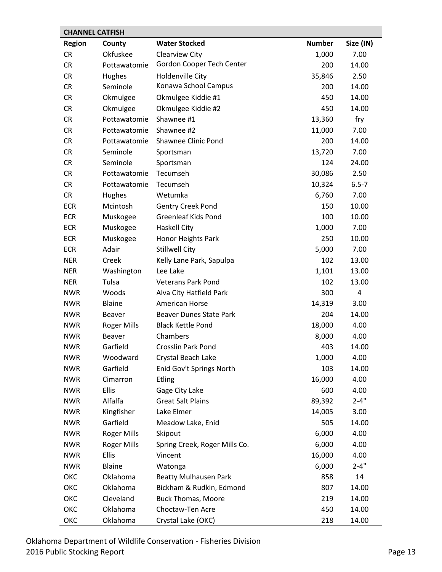<span id="page-12-0"></span>

|               | <b>CHANNEL CATFISH</b> |                                |               |           |
|---------------|------------------------|--------------------------------|---------------|-----------|
| <b>Region</b> | County                 | <b>Water Stocked</b>           | <b>Number</b> | Size (IN) |
| <b>CR</b>     | Okfuskee               | <b>Clearview City</b>          | 1,000         | 7.00      |
| <b>CR</b>     | Pottawatomie           | Gordon Cooper Tech Center      | 200           | 14.00     |
| <b>CR</b>     | Hughes                 | Holdenville City               | 35,846        | 2.50      |
| <b>CR</b>     | Seminole               | Konawa School Campus           | 200           | 14.00     |
| <b>CR</b>     | Okmulgee               | Okmulgee Kiddie #1             | 450           | 14.00     |
| <b>CR</b>     | Okmulgee               | Okmulgee Kiddie #2             | 450           | 14.00     |
| <b>CR</b>     | Pottawatomie           | Shawnee #1                     | 13,360        | fry       |
| <b>CR</b>     | Pottawatomie           | Shawnee #2                     | 11,000        | 7.00      |
| <b>CR</b>     | Pottawatomie           | Shawnee Clinic Pond            | 200           | 14.00     |
| <b>CR</b>     | Seminole               | Sportsman                      | 13,720        | 7.00      |
| <b>CR</b>     | Seminole               | Sportsman                      | 124           | 24.00     |
| <b>CR</b>     | Pottawatomie           | Tecumseh                       | 30,086        | 2.50      |
| <b>CR</b>     | Pottawatomie           | Tecumseh                       | 10,324        | $6.5 - 7$ |
| <b>CR</b>     | Hughes                 | Wetumka                        | 6,760         | 7.00      |
| <b>ECR</b>    | Mcintosh               | <b>Gentry Creek Pond</b>       | 150           | 10.00     |
| <b>ECR</b>    | Muskogee               | <b>Greenleaf Kids Pond</b>     | 100           | 10.00     |
| <b>ECR</b>    | Muskogee               | <b>Haskell City</b>            | 1,000         | 7.00      |
| <b>ECR</b>    | Muskogee               | Honor Heights Park             | 250           | 10.00     |
| <b>ECR</b>    | Adair                  | <b>Stillwell City</b>          | 5,000         | 7.00      |
| <b>NER</b>    | Creek                  | Kelly Lane Park, Sapulpa       | 102           | 13.00     |
| <b>NER</b>    | Washington             | Lee Lake                       | 1,101         | 13.00     |
| <b>NER</b>    | Tulsa                  | <b>Veterans Park Pond</b>      | 102           | 13.00     |
| <b>NWR</b>    | Woods                  | Alva City Hatfield Park        | 300           | 4         |
| <b>NWR</b>    | Blaine                 | American Horse                 | 14,319        | 3.00      |
| <b>NWR</b>    | Beaver                 | <b>Beaver Dunes State Park</b> | 204           | 14.00     |
| <b>NWR</b>    | <b>Roger Mills</b>     | <b>Black Kettle Pond</b>       | 18,000        | 4.00      |
| <b>NWR</b>    | <b>Beaver</b>          | Chambers                       | 8,000         | 4.00      |
| <b>NWR</b>    | Garfield               | <b>Crosslin Park Pond</b>      | 403           | 14.00     |
| <b>NWR</b>    | Woodward               | Crystal Beach Lake             | 1,000         | 4.00      |
| <b>NWR</b>    | Garfield               | Enid Gov't Springs North       | 103           | 14.00     |
| <b>NWR</b>    | Cimarron               | Etling                         | 16,000        | 4.00      |
| <b>NWR</b>    | Ellis                  | Gage City Lake                 | 600           | 4.00      |
| <b>NWR</b>    | Alfalfa                | <b>Great Salt Plains</b>       | 89,392        | $2 - 4"$  |
| <b>NWR</b>    | Kingfisher             | Lake Elmer                     | 14,005        | 3.00      |
| <b>NWR</b>    | Garfield               | Meadow Lake, Enid              | 505           | 14.00     |
| <b>NWR</b>    | <b>Roger Mills</b>     | Skipout                        | 6,000         | 4.00      |
| <b>NWR</b>    | Roger Mills            | Spring Creek, Roger Mills Co.  | 6,000         | 4.00      |
| <b>NWR</b>    | <b>Ellis</b>           | Vincent                        | 16,000        | 4.00      |
| <b>NWR</b>    | Blaine                 | Watonga                        | 6,000         | $2 - 4"$  |
| ОКС           | Oklahoma               | <b>Beatty Mulhausen Park</b>   | 858           | 14        |
| ОКС           | Oklahoma               | Bickham & Rudkin, Edmond       | 807           | 14.00     |
| ОКС           | Cleveland              | <b>Buck Thomas, Moore</b>      | 219           | 14.00     |
| ОКС           | Oklahoma               | Choctaw-Ten Acre               | 450           | 14.00     |
| ОКС           | Oklahoma               | Crystal Lake (OKC)             | 218           | 14.00     |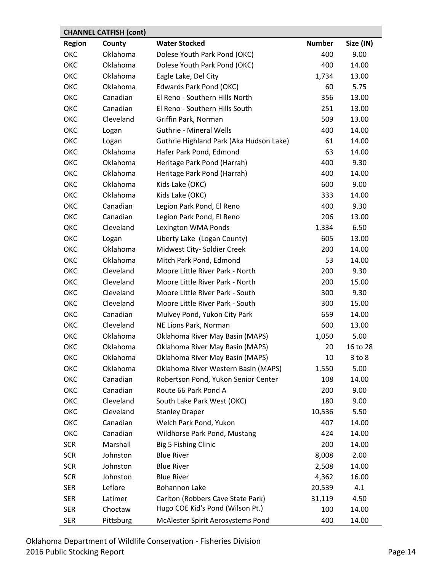<span id="page-13-0"></span>

|               | <b>CHANNEL CATFISH (cont)</b> |                                         |               |            |  |  |
|---------------|-------------------------------|-----------------------------------------|---------------|------------|--|--|
| <b>Region</b> | County                        | <b>Water Stocked</b>                    | <b>Number</b> | Size (IN)  |  |  |
| ОКС           | Oklahoma                      | Dolese Youth Park Pond (OKC)            | 400           | 9.00       |  |  |
| ОКС           | Oklahoma                      | Dolese Youth Park Pond (OKC)            | 400           | 14.00      |  |  |
| ОКС           | Oklahoma                      | Eagle Lake, Del City                    | 1,734         | 13.00      |  |  |
| ОКС           | Oklahoma                      | Edwards Park Pond (OKC)                 | 60            | 5.75       |  |  |
| ОКС           | Canadian                      | El Reno - Southern Hills North          | 356           | 13.00      |  |  |
| ОКС           | Canadian                      | El Reno - Southern Hills South          | 251           | 13.00      |  |  |
| ОКС           | Cleveland                     | Griffin Park, Norman                    | 509           | 13.00      |  |  |
| ОКС           | Logan                         | <b>Guthrie - Mineral Wells</b>          | 400           | 14.00      |  |  |
| ОКС           | Logan                         | Guthrie Highland Park (Aka Hudson Lake) | 61            | 14.00      |  |  |
| ОКС           | Oklahoma                      | Hafer Park Pond, Edmond                 | 63            | 14.00      |  |  |
| ОКС           | Oklahoma                      | Heritage Park Pond (Harrah)             | 400           | 9.30       |  |  |
| ОКС           | Oklahoma                      | Heritage Park Pond (Harrah)             | 400           | 14.00      |  |  |
| ОКС           | Oklahoma                      | Kids Lake (OKC)                         | 600           | 9.00       |  |  |
| ОКС           | Oklahoma                      | Kids Lake (OKC)                         | 333           | 14.00      |  |  |
| ОКС           | Canadian                      | Legion Park Pond, El Reno               | 400           | 9.30       |  |  |
| ОКС           | Canadian                      | Legion Park Pond, El Reno               | 206           | 13.00      |  |  |
| ОКС           | Cleveland                     | Lexington WMA Ponds                     | 1,334         | 6.50       |  |  |
| ОКС           | Logan                         | Liberty Lake (Logan County)             | 605           | 13.00      |  |  |
| ОКС           | Oklahoma                      | Midwest City- Soldier Creek             | 200           | 14.00      |  |  |
| ОКС           | Oklahoma                      | Mitch Park Pond, Edmond                 | 53            | 14.00      |  |  |
| ОКС           | Cleveland                     | Moore Little River Park - North         | 200           | 9.30       |  |  |
| ОКС           | Cleveland                     | Moore Little River Park - North         | 200           | 15.00      |  |  |
| ОКС           | Cleveland                     | Moore Little River Park - South         | 300           | 9.30       |  |  |
| ОКС           | Cleveland                     | Moore Little River Park - South         | 300           | 15.00      |  |  |
| ОКС           | Canadian                      | Mulvey Pond, Yukon City Park            | 659           | 14.00      |  |  |
| ОКС           | Cleveland                     | NE Lions Park, Norman                   | 600           | 13.00      |  |  |
| ОКС           | Oklahoma                      | Oklahoma River May Basin (MAPS)         | 1,050         | 5.00       |  |  |
| ОКС           | Oklahoma                      | Oklahoma River May Basin (MAPS)         | 20            | 16 to 28   |  |  |
| ОКС           | Oklahoma                      | Oklahoma River May Basin (MAPS)         | 10            | $3$ to $8$ |  |  |
| ОКС           | Oklahoma                      | Oklahoma River Western Basin (MAPS)     | 1,550         | 5.00       |  |  |
| ОКС           | Canadian                      | Robertson Pond, Yukon Senior Center     | 108           | 14.00      |  |  |
| ОКС           | Canadian                      | Route 66 Park Pond A                    | 200           | 9.00       |  |  |
| ОКС           | Cleveland                     | South Lake Park West (OKC)              | 180           | 9.00       |  |  |
| ОКС           | Cleveland                     | <b>Stanley Draper</b>                   | 10,536        | 5.50       |  |  |
| ОКС           | Canadian                      | Welch Park Pond, Yukon                  | 407           | 14.00      |  |  |
| ОКС           | Canadian                      | Wildhorse Park Pond, Mustang            | 424           | 14.00      |  |  |
| <b>SCR</b>    | Marshall                      | Big 5 Fishing Clinic                    | 200           | 14.00      |  |  |
| <b>SCR</b>    | Johnston                      | <b>Blue River</b>                       | 8,008         | 2.00       |  |  |
| <b>SCR</b>    | Johnston                      | <b>Blue River</b>                       | 2,508         | 14.00      |  |  |
| <b>SCR</b>    | Johnston                      | <b>Blue River</b>                       | 4,362         | 16.00      |  |  |
| <b>SER</b>    | Leflore                       | <b>Bohannon Lake</b>                    | 20,539        | 4.1        |  |  |
| <b>SER</b>    | Latimer                       | Carlton (Robbers Cave State Park)       | 31,119        | 4.50       |  |  |
| <b>SER</b>    | Choctaw                       | Hugo COE Kid's Pond (Wilson Pt.)        | 100           | 14.00      |  |  |
| <b>SER</b>    | Pittsburg                     | McAlester Spirit Aerosystems Pond       | 400           | 14.00      |  |  |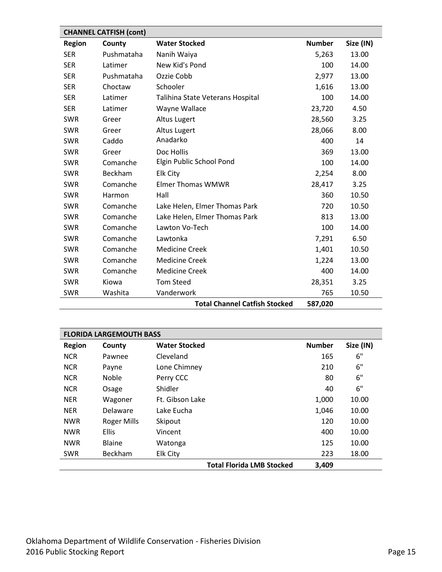<span id="page-14-0"></span>

| <b>CHANNEL CATFISH (cont)</b> |            |                                      |               |           |  |
|-------------------------------|------------|--------------------------------------|---------------|-----------|--|
| <b>Region</b>                 | County     | <b>Water Stocked</b>                 | <b>Number</b> | Size (IN) |  |
| <b>SER</b>                    | Pushmataha | Nanih Waiya                          | 5,263         | 13.00     |  |
| <b>SER</b>                    | Latimer    | New Kid's Pond                       | 100           | 14.00     |  |
| <b>SER</b>                    | Pushmataha | Ozzie Cobb                           | 2,977         | 13.00     |  |
| <b>SER</b>                    | Choctaw    | Schooler                             | 1,616         | 13.00     |  |
| <b>SER</b>                    | Latimer    | Talihina State Veterans Hospital     | 100           | 14.00     |  |
| <b>SER</b>                    | Latimer    | Wayne Wallace                        | 23,720        | 4.50      |  |
| <b>SWR</b>                    | Greer      | <b>Altus Lugert</b>                  | 28,560        | 3.25      |  |
| <b>SWR</b>                    | Greer      | <b>Altus Lugert</b>                  | 28,066        | 8.00      |  |
| <b>SWR</b>                    | Caddo      | Anadarko                             | 400           | 14        |  |
| <b>SWR</b>                    | Greer      | Doc Hollis                           | 369           | 13.00     |  |
| <b>SWR</b>                    | Comanche   | Elgin Public School Pond             | 100           | 14.00     |  |
| <b>SWR</b>                    | Beckham    | Elk City                             | 2,254         | 8.00      |  |
| <b>SWR</b>                    | Comanche   | <b>Elmer Thomas WMWR</b>             | 28,417        | 3.25      |  |
| <b>SWR</b>                    | Harmon     | Hall                                 | 360           | 10.50     |  |
| <b>SWR</b>                    | Comanche   | Lake Helen, Elmer Thomas Park        | 720           | 10.50     |  |
| <b>SWR</b>                    | Comanche   | Lake Helen, Elmer Thomas Park        | 813           | 13.00     |  |
| <b>SWR</b>                    | Comanche   | Lawton Vo-Tech                       | 100           | 14.00     |  |
| <b>SWR</b>                    | Comanche   | Lawtonka                             | 7,291         | 6.50      |  |
| <b>SWR</b>                    | Comanche   | <b>Medicine Creek</b>                | 1,401         | 10.50     |  |
| <b>SWR</b>                    | Comanche   | <b>Medicine Creek</b>                | 1,224         | 13.00     |  |
| <b>SWR</b>                    | Comanche   | <b>Medicine Creek</b>                | 400           | 14.00     |  |
| <b>SWR</b>                    | Kiowa      | <b>Tom Steed</b>                     | 28,351        | 3.25      |  |
| <b>SWR</b>                    | Washita    | Vanderwork                           | 765           | 10.50     |  |
|                               |            | <b>Total Channel Catfish Stocked</b> | 587,020       |           |  |

<span id="page-14-1"></span>

| <b>FLORIDA LARGEMOUTH BASS</b> |               |                                  |               |           |  |
|--------------------------------|---------------|----------------------------------|---------------|-----------|--|
| <b>Region</b>                  | County        | <b>Water Stocked</b>             | <b>Number</b> | Size (IN) |  |
| <b>NCR</b>                     | Pawnee        | Cleveland                        | 165           | 6"        |  |
| <b>NCR</b>                     | Payne         | Lone Chimney                     | 210           | 6"        |  |
| <b>NCR</b>                     | <b>Noble</b>  | Perry CCC                        | 80            | 6"        |  |
| <b>NCR</b>                     | Osage         | Shidler                          | 40            | 6"        |  |
| <b>NER</b>                     | Wagoner       | Ft. Gibson Lake                  | 1,000         | 10.00     |  |
| <b>NER</b>                     | Delaware      | Lake Eucha                       | 1,046         | 10.00     |  |
| <b>NWR</b>                     | Roger Mills   | Skipout                          | 120           | 10.00     |  |
| <b>NWR</b>                     | <b>Ellis</b>  | Vincent                          | 400           | 10.00     |  |
| <b>NWR</b>                     | <b>Blaine</b> | Watonga                          | 125           | 10.00     |  |
| <b>SWR</b>                     | Beckham       | <b>Elk City</b>                  | 223           | 18.00     |  |
|                                |               | <b>Total Florida LMB Stocked</b> | 3,409         |           |  |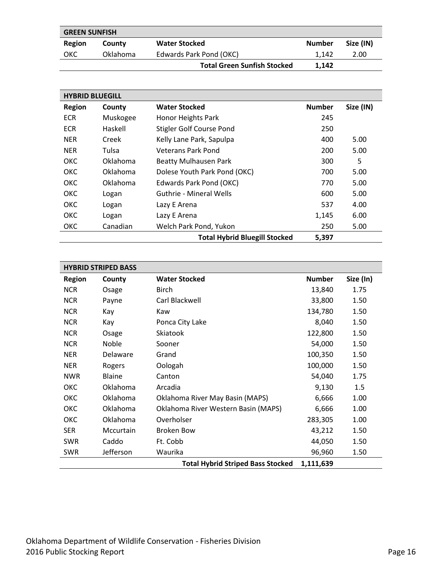<span id="page-15-0"></span>

| <b>GREEN SUNFISH</b> |          |                                    |               |           |  |  |
|----------------------|----------|------------------------------------|---------------|-----------|--|--|
| Region               | County   | <b>Water Stocked</b>               | <b>Number</b> | Size (IN) |  |  |
| ОКС                  | Oklahoma | Edwards Park Pond (OKC)            | 1.142         | 2.00      |  |  |
|                      |          | <b>Total Green Sunfish Stocked</b> | 1.142         |           |  |  |

<span id="page-15-1"></span>

| <b>HYBRID BLUEGILL</b> |          |                                      |               |           |  |
|------------------------|----------|--------------------------------------|---------------|-----------|--|
| <b>Region</b>          | County   | <b>Water Stocked</b>                 | <b>Number</b> | Size (IN) |  |
| <b>ECR</b>             | Muskogee | Honor Heights Park                   | 245           |           |  |
| <b>ECR</b>             | Haskell  | Stigler Golf Course Pond             | 250           |           |  |
| <b>NER</b>             | Creek    | Kelly Lane Park, Sapulpa             | 400           | 5.00      |  |
| <b>NER</b>             | Tulsa    | Veterans Park Pond                   | 200           | 5.00      |  |
| <b>OKC</b>             | Oklahoma | <b>Beatty Mulhausen Park</b>         | 300           | 5         |  |
| <b>OKC</b>             | Oklahoma | Dolese Youth Park Pond (OKC)         | 700           | 5.00      |  |
| <b>OKC</b>             | Oklahoma | Edwards Park Pond (OKC)              | 770           | 5.00      |  |
| <b>OKC</b>             | Logan    | <b>Guthrie - Mineral Wells</b>       | 600           | 5.00      |  |
| <b>OKC</b>             | Logan    | Lazy E Arena                         | 537           | 4.00      |  |
| <b>OKC</b>             | Logan    | Lazy E Arena                         | 1,145         | 6.00      |  |
| <b>OKC</b>             | Canadian | Welch Park Pond, Yukon               | 250           | 5.00      |  |
|                        |          | <b>Total Hybrid Bluegill Stocked</b> | 5,397         |           |  |

<span id="page-15-2"></span>

| <b>HYBRID STRIPED BASS</b> |                 |                                          |               |           |  |
|----------------------------|-----------------|------------------------------------------|---------------|-----------|--|
| <b>Region</b>              | County          | <b>Water Stocked</b>                     | <b>Number</b> | Size (In) |  |
| <b>NCR</b>                 | Osage           | <b>Birch</b>                             | 13,840        | 1.75      |  |
| <b>NCR</b>                 | Payne           | Carl Blackwell                           | 33,800        | 1.50      |  |
| <b>NCR</b>                 | Kay             | Kaw                                      | 134,780       | 1.50      |  |
| <b>NCR</b>                 | Kay             | Ponca City Lake                          | 8,040         | 1.50      |  |
| <b>NCR</b>                 | Osage           | <b>Skiatook</b>                          | 122,800       | 1.50      |  |
| <b>NCR</b>                 | Noble           | Sooner                                   | 54,000        | 1.50      |  |
| <b>NER</b>                 | <b>Delaware</b> | Grand                                    | 100,350       | 1.50      |  |
| <b>NER</b>                 | Rogers          | Oologah                                  | 100,000       | 1.50      |  |
| <b>NWR</b>                 | <b>Blaine</b>   | Canton                                   | 54,040        | 1.75      |  |
| ОКС                        | Oklahoma        | Arcadia                                  | 9,130         | 1.5       |  |
| ОКС                        | Oklahoma        | Oklahoma River May Basin (MAPS)          | 6,666         | 1.00      |  |
| ОКС                        | <b>Oklahoma</b> | Oklahoma River Western Basin (MAPS)      | 6,666         | 1.00      |  |
| ОКС                        | Oklahoma        | Overholser                               | 283,305       | 1.00      |  |
| <b>SER</b>                 | Mccurtain       | Broken Bow                               | 43,212        | 1.50      |  |
| <b>SWR</b>                 | Caddo           | Ft. Cobb                                 | 44,050        | 1.50      |  |
| SWR                        | Jefferson       | Waurika                                  | 96,960        | 1.50      |  |
|                            |                 | <b>Total Hybrid Striped Bass Stocked</b> | 1,111,639     |           |  |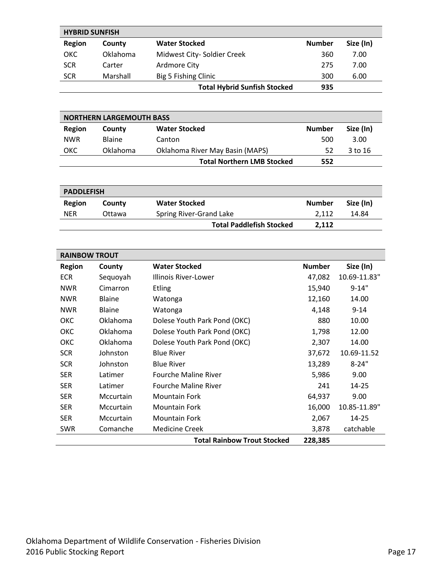<span id="page-16-0"></span>

|               | <b>HYBRID SUNFISH</b> |                                     |               |           |  |  |
|---------------|-----------------------|-------------------------------------|---------------|-----------|--|--|
| <b>Region</b> | County                | <b>Water Stocked</b>                | <b>Number</b> | Size (In) |  |  |
| <b>OKC</b>    | Oklahoma              | Midwest City- Soldier Creek         | 360           | 7.00      |  |  |
| <b>SCR</b>    | Carter                | Ardmore City                        | 275           | 7.00      |  |  |
| <b>SCR</b>    | Marshall              | Big 5 Fishing Clinic                | 300           | 6.00      |  |  |
|               |                       | <b>Total Hybrid Sunfish Stocked</b> | 935           |           |  |  |

<span id="page-16-1"></span>

| <b>NORTHERN LARGEMOUTH BASS</b> |               |                                        |               |           |  |  |
|---------------------------------|---------------|----------------------------------------|---------------|-----------|--|--|
| Region                          | County        | <b>Water Stocked</b>                   | <b>Number</b> | Size (In) |  |  |
| <b>NWR</b>                      | <b>Blaine</b> | Canton                                 | 500           | 3.00      |  |  |
| <b>OKC</b>                      | Oklahoma      | <b>Oklahoma River May Basin (MAPS)</b> | 52            | 3 to 16   |  |  |
|                                 |               | <b>Total Northern LMB Stocked</b>      | 552           |           |  |  |

<span id="page-16-2"></span>

| <b>PADDLEFISH</b> |        |                                 |               |           |  |  |
|-------------------|--------|---------------------------------|---------------|-----------|--|--|
| Region            | County | <b>Water Stocked</b>            | <b>Number</b> | Size (In) |  |  |
| <b>NFR</b>        | Ottawa | Spring River-Grand Lake         | 2.112         | 14.84     |  |  |
|                   |        | <b>Total Paddlefish Stocked</b> | 2,112         |           |  |  |

<span id="page-16-3"></span>

| <b>RAINBOW TROUT</b> |                 |                                    |               |              |  |
|----------------------|-----------------|------------------------------------|---------------|--------------|--|
| <b>Region</b>        | County          | <b>Water Stocked</b>               | <b>Number</b> | Size (In)    |  |
| <b>ECR</b>           | Sequoyah        | Illinois River-Lower               | 47,082        | 10.69-11.83" |  |
| <b>NWR</b>           | Cimarron        | <b>Etling</b>                      | 15,940        | $9 - 14"$    |  |
| <b>NWR</b>           | <b>Blaine</b>   | Watonga                            | 12,160        | 14.00        |  |
| <b>NWR</b>           | <b>Blaine</b>   | Watonga                            | 4,148         | $9 - 14$     |  |
| <b>OKC</b>           | <b>Oklahoma</b> | Dolese Youth Park Pond (OKC)       | 880           | 10.00        |  |
| ОКС                  | Oklahoma        | Dolese Youth Park Pond (OKC)       | 1,798         | 12.00        |  |
| ОКС                  | Oklahoma        | Dolese Youth Park Pond (OKC)       | 2,307         | 14.00        |  |
| <b>SCR</b>           | Johnston        | <b>Blue River</b>                  | 37,672        | 10.69-11.52  |  |
| <b>SCR</b>           | Johnston        | <b>Blue River</b>                  | 13,289        | $8 - 24"$    |  |
| <b>SER</b>           | Latimer         | <b>Fourche Maline River</b>        | 5,986         | 9.00         |  |
| <b>SER</b>           | Latimer         | <b>Fourche Maline River</b>        | 241           | $14 - 25$    |  |
| <b>SER</b>           | Mccurtain       | <b>Mountain Fork</b>               | 64,937        | 9.00         |  |
| <b>SER</b>           | Mccurtain       | <b>Mountain Fork</b>               | 16,000        | 10.85-11.89" |  |
| <b>SER</b>           | Mccurtain       | <b>Mountain Fork</b>               | 2,067         | 14-25        |  |
| <b>SWR</b>           | Comanche        | <b>Medicine Creek</b>              | 3,878         | catchable    |  |
|                      |                 | <b>Total Rainbow Trout Stocked</b> | 228,385       |              |  |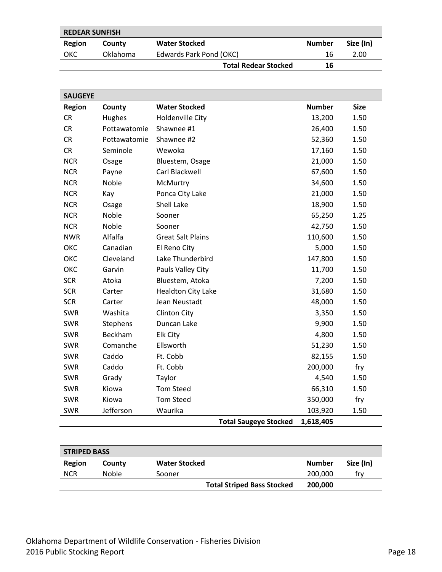<span id="page-17-0"></span>

| <b>REDEAR SUNFISH</b> |                 |                             |        |           |  |  |
|-----------------------|-----------------|-----------------------------|--------|-----------|--|--|
| Region                | County          | <b>Water Stocked</b>        | Number | Size (In) |  |  |
| OKC                   | <b>Oklahoma</b> | Edwards Park Pond (OKC)     | 16     | 2.00      |  |  |
|                       |                 | <b>Total Redear Stocked</b> | 16     |           |  |  |

<span id="page-17-1"></span>

| <b>SAUGEYE</b> |                 |                           |                              |               |             |
|----------------|-----------------|---------------------------|------------------------------|---------------|-------------|
| <b>Region</b>  | County          | <b>Water Stocked</b>      |                              | <b>Number</b> | <b>Size</b> |
| <b>CR</b>      | Hughes          | Holdenville City          |                              | 13,200        | 1.50        |
| <b>CR</b>      | Pottawatomie    | Shawnee #1                |                              | 26,400        | 1.50        |
| <b>CR</b>      | Pottawatomie    | Shawnee #2                |                              | 52,360        | 1.50        |
| <b>CR</b>      | Seminole        | Wewoka                    |                              | 17,160        | 1.50        |
| <b>NCR</b>     | Osage           | Bluestem, Osage           |                              | 21,000        | 1.50        |
| <b>NCR</b>     | Payne           | Carl Blackwell            |                              | 67,600        | 1.50        |
| <b>NCR</b>     | Noble           | McMurtry                  |                              | 34,600        | 1.50        |
| <b>NCR</b>     | Kay             | Ponca City Lake           |                              | 21,000        | 1.50        |
| <b>NCR</b>     | Osage           | Shell Lake                |                              | 18,900        | 1.50        |
| <b>NCR</b>     | Noble           | Sooner                    |                              | 65,250        | 1.25        |
| <b>NCR</b>     | Noble           | Sooner                    |                              | 42,750        | 1.50        |
| <b>NWR</b>     | Alfalfa         | <b>Great Salt Plains</b>  |                              | 110,600       | 1.50        |
| ОКС            | Canadian        | El Reno City              |                              | 5,000         | 1.50        |
| ОКС            | Cleveland       | Lake Thunderbird          |                              | 147,800       | 1.50        |
| ОКС            | Garvin          | Pauls Valley City         |                              | 11,700        | 1.50        |
| <b>SCR</b>     | Atoka           | Bluestem, Atoka           |                              | 7,200         | 1.50        |
| <b>SCR</b>     | Carter          | <b>Healdton City Lake</b> |                              | 31,680        | 1.50        |
| <b>SCR</b>     | Carter          | Jean Neustadt             |                              | 48,000        | 1.50        |
| <b>SWR</b>     | Washita         | <b>Clinton City</b>       |                              | 3,350         | 1.50        |
| <b>SWR</b>     | <b>Stephens</b> | Duncan Lake               |                              | 9,900         | 1.50        |
| <b>SWR</b>     | Beckham         | Elk City                  |                              | 4,800         | 1.50        |
| <b>SWR</b>     | Comanche        | Ellsworth                 |                              | 51,230        | 1.50        |
| <b>SWR</b>     | Caddo           | Ft. Cobb                  |                              | 82,155        | 1.50        |
| <b>SWR</b>     | Caddo           | Ft. Cobb                  |                              | 200,000       | fry         |
| <b>SWR</b>     | Grady           | Taylor                    |                              | 4,540         | 1.50        |
| <b>SWR</b>     | Kiowa           | <b>Tom Steed</b>          |                              | 66,310        | 1.50        |
| <b>SWR</b>     | Kiowa           | <b>Tom Steed</b>          |                              | 350,000       | fry         |
| SWR            | Jefferson       | Waurika                   |                              | 103,920       | 1.50        |
|                |                 |                           | <b>Total Saugeye Stocked</b> | 1,618,405     |             |

<span id="page-17-2"></span>

| <b>STRIPED BASS</b> |              |                                   |         |           |  |
|---------------------|--------------|-----------------------------------|---------|-----------|--|
| Region              | County       | <b>Water Stocked</b>              | Number  | Size (In) |  |
| <b>NCR</b>          | <b>Noble</b> | Sooner                            | 200,000 | trv       |  |
|                     |              | <b>Total Striped Bass Stocked</b> | 200,000 |           |  |